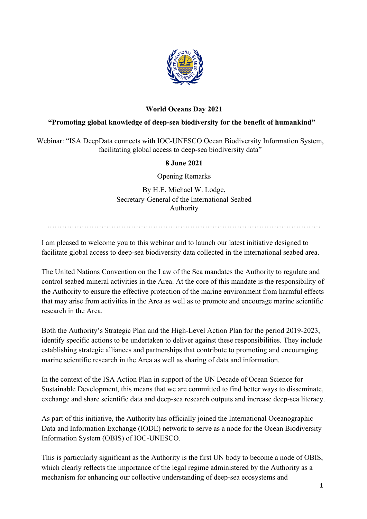

## **World Oceans Day 2021**

## **"Promoting global knowledge of deep-sea biodiversity for the benefit of humankind"**

Webinar: "ISA DeepData connects with IOC-UNESCO Ocean Biodiversity Information System, facilitating global access to deep-sea biodiversity data"

## **8 June 2021**

Opening Remarks

By H.E. Michael W. Lodge, Secretary-General of the International Seabed Authority

…………………………………………………………………………………………………

I am pleased to welcome you to this webinar and to launch our latest initiative designed to facilitate global access to deep-sea biodiversity data collected in the international seabed area.

The United Nations Convention on the Law of the Sea mandates the Authority to regulate and control seabed mineral activities in the Area. At the core of this mandate is the responsibility of the Authority to ensure the effective protection of the marine environment from harmful effects that may arise from activities in the Area as well as to promote and encourage marine scientific research in the Area.

Both the Authority's Strategic Plan and the High-Level Action Plan for the period 2019-2023, identify specific actions to be undertaken to deliver against these responsibilities. They include establishing strategic alliances and partnerships that contribute to promoting and encouraging marine scientific research in the Area as well as sharing of data and information.

In the context of the ISA Action Plan in support of the UN Decade of Ocean Science for Sustainable Development, this means that we are committed to find better ways to disseminate, exchange and share scientific data and deep-sea research outputs and increase deep-sea literacy.

As part of this initiative, the Authority has officially joined the International Oceanographic Data and Information Exchange (IODE) network to serve as a node for the Ocean Biodiversity Information System (OBIS) of IOC-UNESCO.

This is particularly significant as the Authority is the first UN body to become a node of OBIS, which clearly reflects the importance of the legal regime administered by the Authority as a mechanism for enhancing our collective understanding of deep-sea ecosystems and